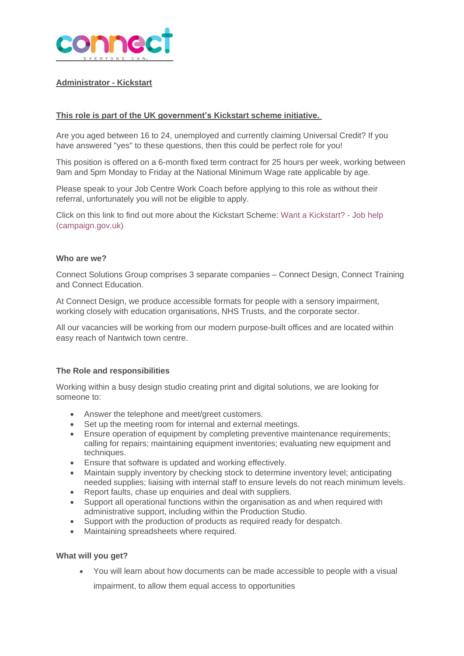

# **Administrator - Kickstart**

# **This role is part of the UK government's Kickstart scheme initiative.**

Are you aged between 16 to 24, unemployed and currently claiming Universal Credit? If you have answered "yes" to these questions, then this could be perfect role for you!

This position is offered on a 6-month fixed term contract for 25 hours per week, working between 9am and 5pm Monday to Friday at the National Minimum Wage rate applicable by age.

Please speak to your Job Centre Work Coach before applying to this role as without their referral, unfortunately you will not be eligible to apply.

Click on this link to find out more about the Kickstart Scheme: Want a [Kickstart?](https://jobhelp.campaign.gov.uk/kickstart/) - Job help [\(campaign.gov.uk\)](https://jobhelp.campaign.gov.uk/kickstart/)

#### **Who are we?**

Connect Solutions Group comprises 3 separate companies – Connect Design, Connect Training and Connect Education.

At Connect Design, we produce accessible formats for people with a sensory impairment, working closely with education organisations, NHS Trusts, and the corporate sector.

All our vacancies will be working from our modern purpose-built offices and are located within easy reach of Nantwich town centre.

### **The Role and responsibilities**

Working within a busy design studio creating print and digital solutions, we are looking for someone to:

- Answer the telephone and meet/greet customers.
- Set up the meeting room for internal and external meetings.
- Ensure operation of equipment by completing preventive maintenance requirements; calling for repairs; maintaining equipment inventories; evaluating new equipment and techniques.
- Ensure that software is updated and working effectively.
- Maintain supply inventory by checking stock to determine inventory level; anticipating needed supplies; liaising with internal staff to ensure levels do not reach minimum levels.
- Report faults, chase up enquiries and deal with suppliers.
- Support all operational functions within the organisation as and when required with administrative support, including within the Production Studio.
- Support with the production of products as required ready for despatch.
- Maintaining spreadsheets where required.

### **What will you get?**

• You will learn about how documents can be made accessible to people with a visual

impairment, to allow them equal access to opportunities